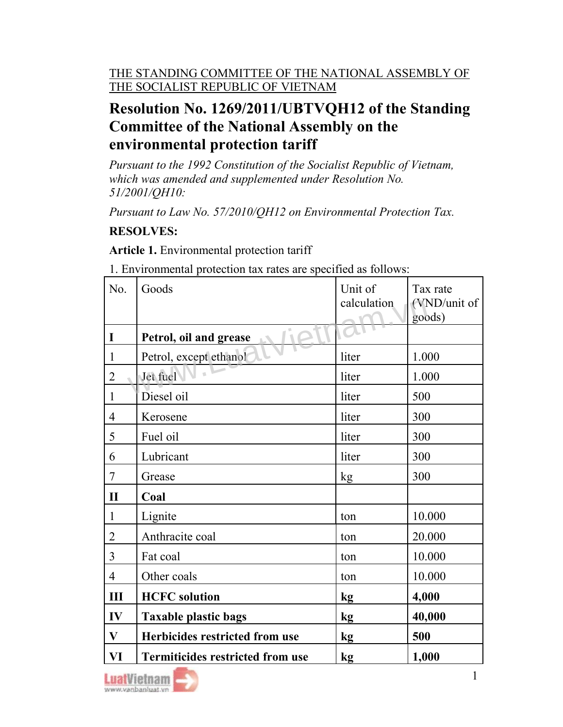## Resolution No. 1269/2011/UBTVQH12 of the Standing Committee of the National Assembly on the environmental protection tariff

Pursuant to the 1992 Constitution of the Socialist Republic of Vietnam, which was amended and supplemented under Resolution No. 51/2001/QH10:

Pursuant to Law No. 57/2010/QH12 on Environmental Protection Tax.

## RESOLVES:

Article 1. Environmental protection tariff

| No.            | Goods                                   | Unit of<br>calculation | Tax rate<br>(VND/unit of |
|----------------|-----------------------------------------|------------------------|--------------------------|
| I              | Petrol, oil and grease                  |                        | goods)                   |
| $\mathbf{1}$   | Petrol, except ethanol                  | liter                  | 1.000                    |
| $\overline{2}$ | Jet fuel                                | liter                  | 1.000                    |
| $\mathbf{1}$   | Diesel oil                              | liter                  | 500                      |
| 4              | Kerosene                                | liter                  | 300                      |
| 5              | Fuel oil                                | liter                  | 300                      |
| 6              | Lubricant                               | liter                  | 300                      |
| 7              | Grease                                  | kg                     | 300                      |
| $\mathbf{I}$   | Coal                                    |                        |                          |
| $\mathbf{1}$   | Lignite                                 | ton                    | 10.000                   |
| $\overline{2}$ | Anthracite coal                         | ton                    | 20.000                   |
| 3              | Fat coal                                | ton                    | 10.000                   |
| $\overline{4}$ | Other coals                             | ton                    | 10.000                   |
| Ш              | <b>HCFC</b> solution                    | kg                     | 4,000                    |
| $\mathbf{IV}$  | <b>Taxable plastic bags</b>             | kg                     | 40,000                   |
| $\mathbf{V}$   | Herbicides restricted from use          | kg                     | 500                      |
| VI             | <b>Termiticides restricted from use</b> | kg                     | 1,000                    |

1. Environmental protection tax rates are specified as follows:

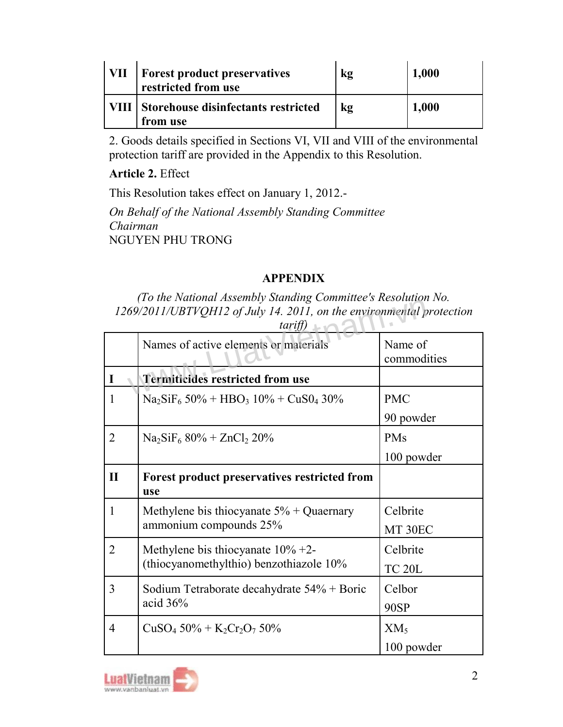| VII | <b>Forest product preservatives</b><br>restricted from use | kg | 1,000 |
|-----|------------------------------------------------------------|----|-------|
|     | VIII Storehouse disinfectants restricted<br>from use       | kg | 1,000 |

2. Goods details specified in Sections VI, VII and VIII of the environmental protection tariff are provided in the Appendix to this Resolution.

Article 2. Effect

This Resolution takes effect on January 1, 2012.-

On Behalf of the National Assembly Standing Committee Chairman NGUYEN PHU TRONG

## APPENDIX

(To the National Assembly Standing Committee's Resolution No.

|                | To the Franchia Hisseniory Brahamiz Communee's Resonation Fro.<br>1269/2011/UBTVQH12 of July 14. 2011, on the environmental protection<br>tariff) |                        |  |  |  |
|----------------|---------------------------------------------------------------------------------------------------------------------------------------------------|------------------------|--|--|--|
|                | Names of active elements or materials                                                                                                             | Name of<br>commodities |  |  |  |
| I              | <b>Termiticides restricted from use</b>                                                                                                           |                        |  |  |  |
| 1              | $Na_2SiF_6 50\% + HBO_3 10\% + CuSO_4 30\%$                                                                                                       | <b>PMC</b>             |  |  |  |
|                |                                                                                                                                                   | 90 powder              |  |  |  |
| $\overline{2}$ | $Na2SiF6 80% + ZnCl2 20%$                                                                                                                         | <b>PMs</b>             |  |  |  |
|                |                                                                                                                                                   | 100 powder             |  |  |  |
| $\mathbf{I}$   | Forest product preservatives restricted from<br>use                                                                                               |                        |  |  |  |
| $\mathbf{1}$   | Methylene bis thiocyanate $5\%$ + Quaernary<br>ammonium compounds 25%                                                                             | Celbrite               |  |  |  |
|                |                                                                                                                                                   | MT 30EC                |  |  |  |
| $\overline{2}$ | Methylene bis thiocyanate $10\% +2$ -<br>(thiocyanomethylthio) benzothiazole 10%                                                                  | Celbrite               |  |  |  |
|                |                                                                                                                                                   | <b>TC 20L</b>          |  |  |  |
| 3              | Sodium Tetraborate decahydrate 54% + Boric<br>acid $36%$                                                                                          | Celbor                 |  |  |  |
|                |                                                                                                                                                   | 90SP                   |  |  |  |
| 4              | $CuSO_4$ 50% + $K_2Cr_2O_7$ 50%                                                                                                                   | XM <sub>5</sub>        |  |  |  |
|                |                                                                                                                                                   | 100 powder             |  |  |  |